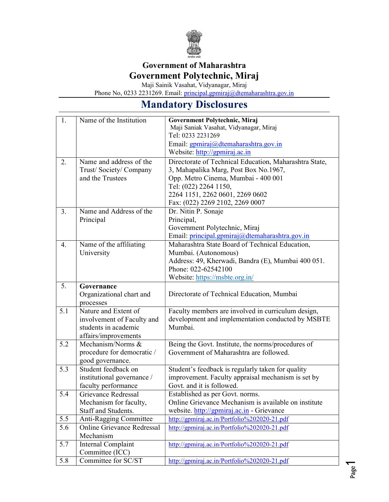

## Government of Maharashtra Government Polytechnic, Miraj

Maji Sainik Vasahat, Vidyanagar, Miraj

Phone No, 0233 2231269. Email: principal.gpmiraj@dtemaharashtra.gov.in

## Mandatory Disclosures

| 1.  | Name of the Institution           | Government Polytechnic, Miraj                          |
|-----|-----------------------------------|--------------------------------------------------------|
|     |                                   | Maji Saniak Vasahat, Vidyanagar, Miraj                 |
|     |                                   | Tel: 0233 2231269                                      |
|     |                                   | Email: gpmiraj@dtemaharashtra.gov.in                   |
|     |                                   | Website: http://gpmiraj.ac.in                          |
| 2.  | Name and address of the           | Directorate of Technical Education, Maharashtra State, |
|     | Trust/Society/Company             | 3, Mahapalika Marg, Post Box No.1967,                  |
|     | and the Trustees                  | Opp. Metro Cinema, Mumbai - 400 001                    |
|     |                                   | Tel: (022) 2264 1150,                                  |
|     |                                   | 2264 1151, 2262 0601, 2269 0602                        |
|     |                                   | Fax: (022) 2269 2102, 2269 0007                        |
| 3.  | Name and Address of the           | Dr. Nitin P. Sonaje                                    |
|     | Principal                         | Principal,                                             |
|     |                                   | Government Polytechnic, Miraj                          |
|     |                                   | Email: principal.gpmiraj@dtemaharashtra.gov.in         |
| 4.  | Name of the affiliating           | Maharashtra State Board of Technical Education,        |
|     | University                        | Mumbai. (Autonomous)                                   |
|     |                                   | Address: 49, Kherwadi, Bandra (E), Mumbai 400 051.     |
|     |                                   | Phone: 022-62542100                                    |
|     |                                   | Website: https://msbte.org.in/                         |
| 5.  | Governance                        |                                                        |
|     | Organizational chart and          | Directorate of Technical Education, Mumbai             |
|     | processes                         |                                                        |
| 5.1 | Nature and Extent of              | Faculty members are involved in curriculum design,     |
|     | involvement of Faculty and        | development and implementation conducted by MSBTE      |
|     | students in academic              | Mumbai.                                                |
|     | affairs/improvements              |                                                        |
| 5.2 | Mechanism/Norms &                 | Being the Govt. Institute, the norms/procedures of     |
|     | procedure for democratic /        | Government of Maharashtra are followed.                |
|     | good governance.                  |                                                        |
| 5.3 | Student feedback on               | Student's feedback is regularly taken for quality      |
|     | institutional governance /        | improvement. Faculty appraisal mechanism is set by     |
|     | faculty performance               | Govt. and it is followed.                              |
| 5.4 | Grievance Redressal               | Established as per Govt. norms.                        |
|     | Mechanism for faculty,            | Online Grievance Mechanism is available on institute   |
|     | Staff and Students.               | website. http://gpmiraj.ac.in - Grievance              |
| 5.5 | Anti-Ragging Committee            | http://gpmiraj.ac.in/Portfolio%202020-21.pdf           |
| 5.6 | <b>Online Grievance Redressal</b> | http://gpmiraj.ac.in/Portfolio%202020-21.pdf           |
|     | Mechanism                         |                                                        |
| 5.7 | Internal Complaint                | http://gpmiraj.ac.in/Portfolio%202020-21.pdf           |
|     | Committee (ICC)                   |                                                        |
| 5.8 | Committee for SC/ST               | http://gpmiraj.ac.in/Portfolio%202020-21.pdf           |
|     |                                   |                                                        |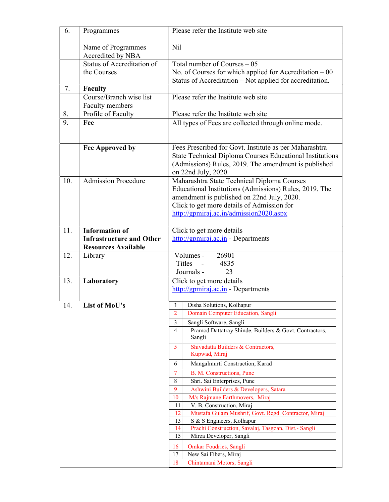| 6.  | Programmes                                 | Please refer the Institute web site                                                                                |
|-----|--------------------------------------------|--------------------------------------------------------------------------------------------------------------------|
|     | Name of Programmes<br>Accredited by NBA    | Nil                                                                                                                |
|     | Status of Accreditation of                 | Total number of Courses $-05$                                                                                      |
|     | the Courses                                | No. of Courses for which applied for Accreditation $-00$                                                           |
|     |                                            | Status of Accreditation – Not applied for accreditation.                                                           |
| 7.  | Faculty                                    |                                                                                                                    |
|     | Course/Branch wise list<br>Faculty members | Please refer the Institute web site                                                                                |
| 8.  | Profile of Faculty                         | Please refer the Institute web site                                                                                |
| 9.  | Fee                                        | All types of Fees are collected through online mode.                                                               |
|     | Fee Approved by                            | Fees Prescribed for Govt. Institute as per Maharashtra<br>State Technical Diploma Courses Educational Institutions |
|     |                                            | (Admissions) Rules, 2019. The amendment is published<br>on 22nd July, 2020.                                        |
| 10. | <b>Admission Procedure</b>                 | Maharashtra State Technical Diploma Courses                                                                        |
|     |                                            | Educational Institutions (Admissions) Rules, 2019. The                                                             |
|     |                                            | amendment is published on 22nd July, 2020.                                                                         |
|     |                                            | Click to get more details of Admission for                                                                         |
|     |                                            | http://gpmiraj.ac.in/admission2020.aspx                                                                            |
|     |                                            |                                                                                                                    |
| 11. | <b>Information of</b>                      | Click to get more details                                                                                          |
|     | <b>Infrastructure and Other</b>            | $\frac{http://gpmiraj.ac.in}{http://gpmiraj.ac.in}$ - Departments                                                  |
|     | <b>Resources Available</b>                 |                                                                                                                    |
| 12. | Library                                    | Volumes -<br>26901                                                                                                 |
|     |                                            | Titles<br>$\sim$ $\sim$<br>4835                                                                                    |
|     |                                            | 23<br>Journals -                                                                                                   |
| 13. | Laboratory                                 | Click to get more details                                                                                          |
|     |                                            | $\frac{http://gpmiraj.ac.in}{http://gpmiraj.ac.in}$ - Departments                                                  |
| 14. | List of MoU's                              | Disha Solutions, Kolhapur<br>$\mathbf{1}$                                                                          |
|     |                                            | 2<br>Domain Computer Education, Sangli                                                                             |
|     |                                            | 3<br>Sangli Software, Sangli                                                                                       |
|     |                                            | Pramod Dattatray Shinde, Builders & Govt. Contractors,<br>4<br>Sangli                                              |
|     |                                            | Shivadatta Builders & Contractors,<br>5<br>Kupwad, Miraj                                                           |
|     |                                            | Mangalmurti Construction, Karad<br>6                                                                               |
|     |                                            | B. M. Constructions, Pune<br>7                                                                                     |
|     |                                            | Shri. Sai Enterprises, Pune<br>8                                                                                   |
|     |                                            | 9<br>Ashwini Builders & Developers, Satara                                                                         |
|     |                                            | M/s Rajmane Earthmovers, Miraj<br>10                                                                               |
|     |                                            | V. B. Construction, Miraj<br>11                                                                                    |
|     |                                            | 12<br>Mustafa Gulam Mushrif, Govt. Regd. Contractor, Miraj                                                         |
|     |                                            | 13<br>S & S Engineers, Kolhapur                                                                                    |
|     |                                            | Prachi Construction, Savalaj, Tasgoan, Dist.- Sangli<br>14                                                         |
|     |                                            | 15<br>Mirza Developer, Sangli                                                                                      |
|     |                                            | Omkar Foudries, Sangli<br>16                                                                                       |
|     |                                            | New Sai Fibers, Miraj<br>17                                                                                        |
|     |                                            | 18<br>Chintamani Motors, Sangli                                                                                    |